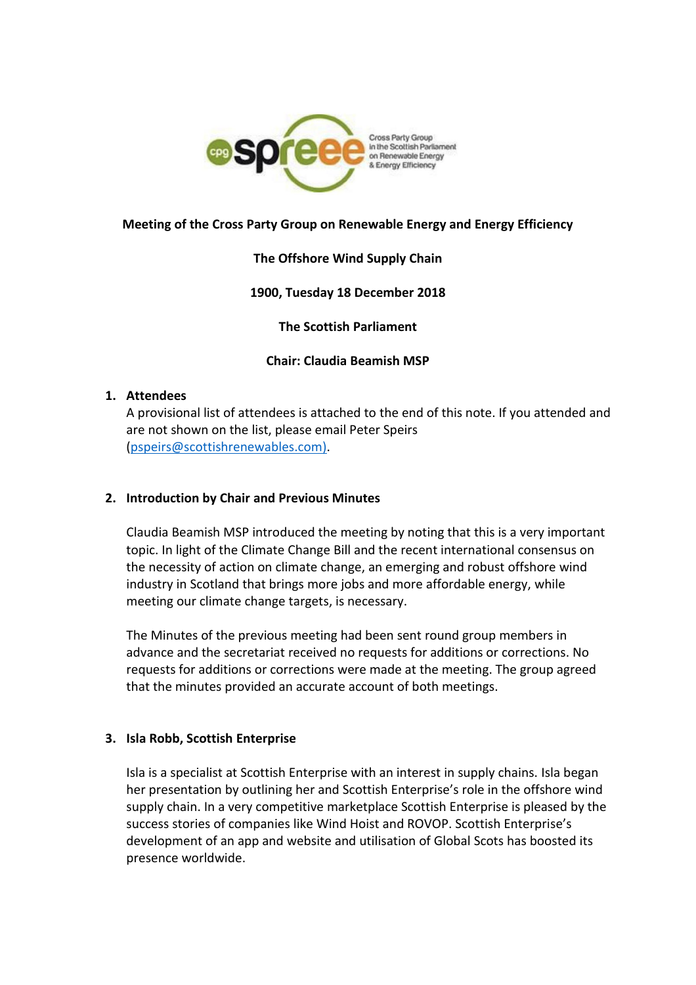

# **Meeting of the Cross Party Group on Renewable Energy and Energy Efficiency**

### **The Offshore Wind Supply Chain**

### **1900, Tuesday 18 December 2018**

**The Scottish Parliament**

#### **Chair: Claudia Beamish MSP**

#### **1. Attendees**

A provisional list of attendees is attached to the end of this note. If you attended and are not shown on the list, please email Peter Speirs [\(pspeirs@scottishrenewables.com\).](mailto:pspeirs@scottishrenewables.com))

### **2. Introduction by Chair and Previous Minutes**

Claudia Beamish MSP introduced the meeting by noting that this is a very important topic. In light of the Climate Change Bill and the recent international consensus on the necessity of action on climate change, an emerging and robust offshore wind industry in Scotland that brings more jobs and more affordable energy, while meeting our climate change targets, is necessary.

The Minutes of the previous meeting had been sent round group members in advance and the secretariat received no requests for additions or corrections. No requests for additions or corrections were made at the meeting. The group agreed that the minutes provided an accurate account of both meetings.

### **3. Isla Robb, Scottish Enterprise**

Isla is a specialist at Scottish Enterprise with an interest in supply chains. Isla began her presentation by outlining her and Scottish Enterprise's role in the offshore wind supply chain. In a very competitive marketplace Scottish Enterprise is pleased by the success stories of companies like Wind Hoist and ROVOP. Scottish Enterprise's development of an app and website and utilisation of Global Scots has boosted its presence worldwide.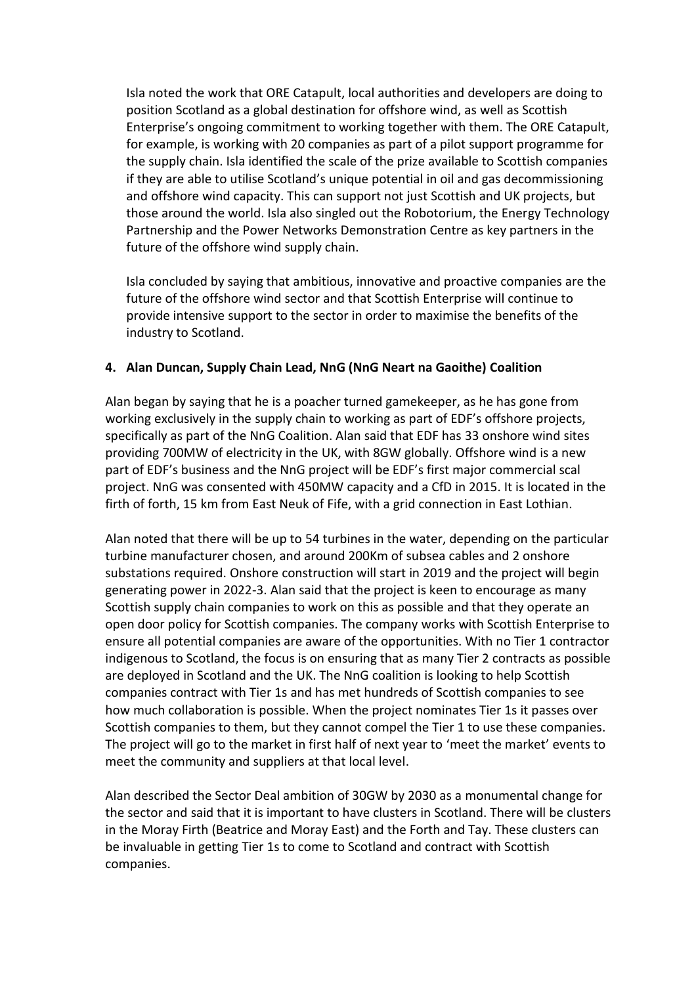Isla noted the work that ORE Catapult, local authorities and developers are doing to position Scotland as a global destination for offshore wind, as well as Scottish Enterprise's ongoing commitment to working together with them. The ORE Catapult, for example, is working with 20 companies as part of a pilot support programme for the supply chain. Isla identified the scale of the prize available to Scottish companies if they are able to utilise Scotland's unique potential in oil and gas decommissioning and offshore wind capacity. This can support not just Scottish and UK projects, but those around the world. Isla also singled out the Robotorium, the Energy Technology Partnership and the Power Networks Demonstration Centre as key partners in the future of the offshore wind supply chain.

Isla concluded by saying that ambitious, innovative and proactive companies are the future of the offshore wind sector and that Scottish Enterprise will continue to provide intensive support to the sector in order to maximise the benefits of the industry to Scotland.

# **4. Alan Duncan, Supply Chain Lead, NnG (NnG Neart na Gaoithe) Coalition**

Alan began by saying that he is a poacher turned gamekeeper, as he has gone from working exclusively in the supply chain to working as part of EDF's offshore projects, specifically as part of the NnG Coalition. Alan said that EDF has 33 onshore wind sites providing 700MW of electricity in the UK, with 8GW globally. Offshore wind is a new part of EDF's business and the NnG project will be EDF's first major commercial scal project. NnG was consented with 450MW capacity and a CfD in 2015. It is located in the firth of forth, 15 km from East Neuk of Fife, with a grid connection in East Lothian.

Alan noted that there will be up to 54 turbines in the water, depending on the particular turbine manufacturer chosen, and around 200Km of subsea cables and 2 onshore substations required. Onshore construction will start in 2019 and the project will begin generating power in 2022-3. Alan said that the project is keen to encourage as many Scottish supply chain companies to work on this as possible and that they operate an open door policy for Scottish companies. The company works with Scottish Enterprise to ensure all potential companies are aware of the opportunities. With no Tier 1 contractor indigenous to Scotland, the focus is on ensuring that as many Tier 2 contracts as possible are deployed in Scotland and the UK. The NnG coalition is looking to help Scottish companies contract with Tier 1s and has met hundreds of Scottish companies to see how much collaboration is possible. When the project nominates Tier 1s it passes over Scottish companies to them, but they cannot compel the Tier 1 to use these companies. The project will go to the market in first half of next year to 'meet the market' events to meet the community and suppliers at that local level.

Alan described the Sector Deal ambition of 30GW by 2030 as a monumental change for the sector and said that it is important to have clusters in Scotland. There will be clusters in the Moray Firth (Beatrice and Moray East) and the Forth and Tay. These clusters can be invaluable in getting Tier 1s to come to Scotland and contract with Scottish companies.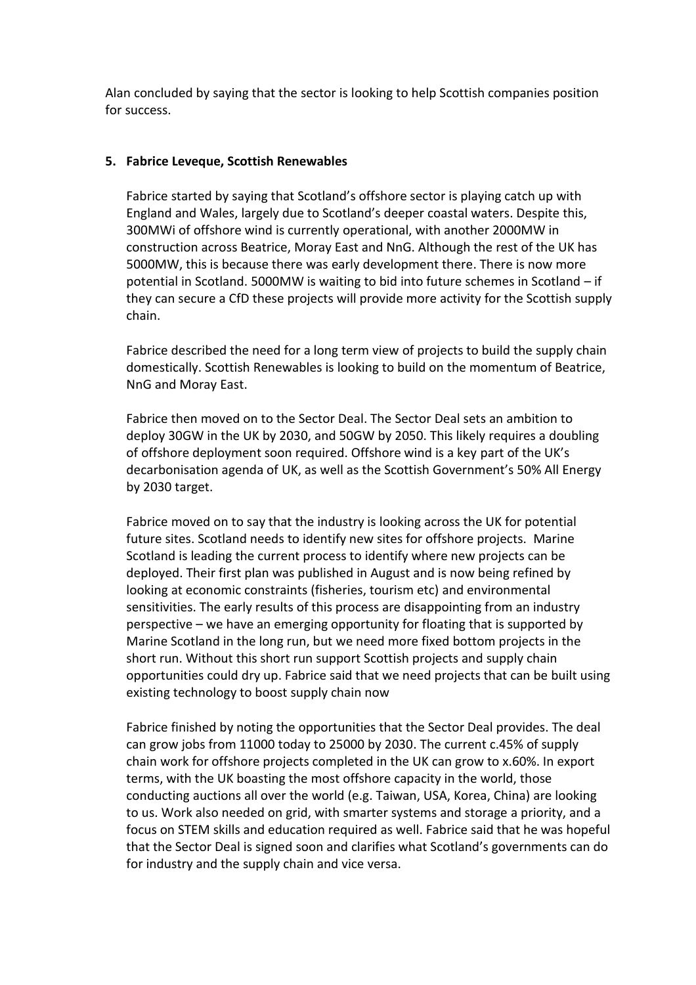Alan concluded by saying that the sector is looking to help Scottish companies position for success.

### **5. Fabrice Leveque, Scottish Renewables**

Fabrice started by saying that Scotland's offshore sector is playing catch up with England and Wales, largely due to Scotland's deeper coastal waters. Despite this, 300MWi of offshore wind is currently operational, with another 2000MW in construction across Beatrice, Moray East and NnG. Although the rest of the UK has 5000MW, this is because there was early development there. There is now more potential in Scotland. 5000MW is waiting to bid into future schemes in Scotland – if they can secure a CfD these projects will provide more activity for the Scottish supply chain.

Fabrice described the need for a long term view of projects to build the supply chain domestically. Scottish Renewables is looking to build on the momentum of Beatrice, NnG and Moray East.

Fabrice then moved on to the Sector Deal. The Sector Deal sets an ambition to deploy 30GW in the UK by 2030, and 50GW by 2050. This likely requires a doubling of offshore deployment soon required. Offshore wind is a key part of the UK's decarbonisation agenda of UK, as well as the Scottish Government's 50% All Energy by 2030 target.

Fabrice moved on to say that the industry is looking across the UK for potential future sites. Scotland needs to identify new sites for offshore projects. Marine Scotland is leading the current process to identify where new projects can be deployed. Their first plan was published in August and is now being refined by looking at economic constraints (fisheries, tourism etc) and environmental sensitivities. The early results of this process are disappointing from an industry perspective – we have an emerging opportunity for floating that is supported by Marine Scotland in the long run, but we need more fixed bottom projects in the short run. Without this short run support Scottish projects and supply chain opportunities could dry up. Fabrice said that we need projects that can be built using existing technology to boost supply chain now

Fabrice finished by noting the opportunities that the Sector Deal provides. The deal can grow jobs from 11000 today to 25000 by 2030. The current c.45% of supply chain work for offshore projects completed in the UK can grow to x.60%. In export terms, with the UK boasting the most offshore capacity in the world, those conducting auctions all over the world (e.g. Taiwan, USA, Korea, China) are looking to us. Work also needed on grid, with smarter systems and storage a priority, and a focus on STEM skills and education required as well. Fabrice said that he was hopeful that the Sector Deal is signed soon and clarifies what Scotland's governments can do for industry and the supply chain and vice versa.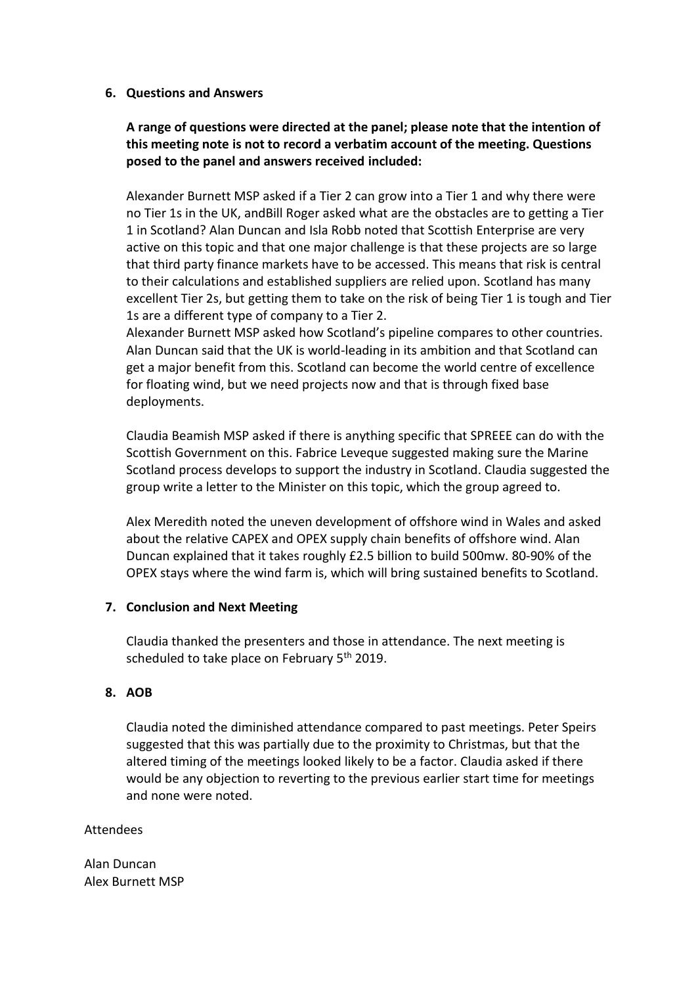### **6. Questions and Answers**

# **A range of questions were directed at the panel; please note that the intention of this meeting note is not to record a verbatim account of the meeting. Questions posed to the panel and answers received included:**

Alexander Burnett MSP asked if a Tier 2 can grow into a Tier 1 and why there were no Tier 1s in the UK, andBill Roger asked what are the obstacles are to getting a Tier 1 in Scotland? Alan Duncan and Isla Robb noted that Scottish Enterprise are very active on this topic and that one major challenge is that these projects are so large that third party finance markets have to be accessed. This means that risk is central to their calculations and established suppliers are relied upon. Scotland has many excellent Tier 2s, but getting them to take on the risk of being Tier 1 is tough and Tier 1s are a different type of company to a Tier 2.

Alexander Burnett MSP asked how Scotland's pipeline compares to other countries. Alan Duncan said that the UK is world-leading in its ambition and that Scotland can get a major benefit from this. Scotland can become the world centre of excellence for floating wind, but we need projects now and that is through fixed base deployments.

Claudia Beamish MSP asked if there is anything specific that SPREEE can do with the Scottish Government on this. Fabrice Leveque suggested making sure the Marine Scotland process develops to support the industry in Scotland. Claudia suggested the group write a letter to the Minister on this topic, which the group agreed to.

Alex Meredith noted the uneven development of offshore wind in Wales and asked about the relative CAPEX and OPEX supply chain benefits of offshore wind. Alan Duncan explained that it takes roughly £2.5 billion to build 500mw. 80-90% of the OPEX stays where the wind farm is, which will bring sustained benefits to Scotland.

#### **7. Conclusion and Next Meeting**

Claudia thanked the presenters and those in attendance. The next meeting is scheduled to take place on February 5<sup>th</sup> 2019.

### **8. AOB**

Claudia noted the diminished attendance compared to past meetings. Peter Speirs suggested that this was partially due to the proximity to Christmas, but that the altered timing of the meetings looked likely to be a factor. Claudia asked if there would be any objection to reverting to the previous earlier start time for meetings and none were noted.

### Attendees

Alan Duncan Alex Burnett MSP